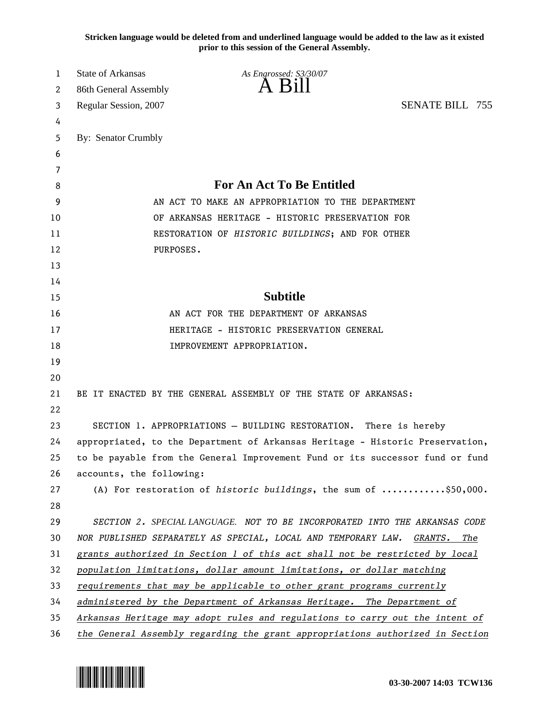**Stricken language would be deleted from and underlined language would be added to the law as it existed prior to this session of the General Assembly.**

| 1  | <b>State of Arkansas</b>                         | As Engrossed: S3/30/07                                                        |                        |  |  |
|----|--------------------------------------------------|-------------------------------------------------------------------------------|------------------------|--|--|
| 2  | 86th General Assembly                            | A B111                                                                        |                        |  |  |
| 3  | Regular Session, 2007                            |                                                                               | <b>SENATE BILL 755</b> |  |  |
| 4  |                                                  |                                                                               |                        |  |  |
| 5  | By: Senator Crumbly                              |                                                                               |                        |  |  |
| 6  |                                                  |                                                                               |                        |  |  |
| 7  |                                                  |                                                                               |                        |  |  |
| 8  |                                                  | <b>For An Act To Be Entitled</b>                                              |                        |  |  |
| 9  |                                                  | AN ACT TO MAKE AN APPROPRIATION TO THE DEPARTMENT                             |                        |  |  |
| 10 | OF ARKANSAS HERITAGE - HISTORIC PRESERVATION FOR |                                                                               |                        |  |  |
| 11 |                                                  | RESTORATION OF HISTORIC BUILDINGS; AND FOR OTHER                              |                        |  |  |
| 12 | PURPOSES.                                        |                                                                               |                        |  |  |
| 13 |                                                  |                                                                               |                        |  |  |
| 14 |                                                  |                                                                               |                        |  |  |
| 15 |                                                  | <b>Subtitle</b>                                                               |                        |  |  |
| 16 |                                                  | AN ACT FOR THE DEPARTMENT OF ARKANSAS                                         |                        |  |  |
| 17 |                                                  | HERITAGE - HISTORIC PRESERVATION GENERAL                                      |                        |  |  |
| 18 |                                                  | IMPROVEMENT APPROPRIATION.                                                    |                        |  |  |
| 19 |                                                  |                                                                               |                        |  |  |
| 20 |                                                  |                                                                               |                        |  |  |
| 21 |                                                  | BE IT ENACTED BY THE GENERAL ASSEMBLY OF THE STATE OF ARKANSAS:               |                        |  |  |
| 22 |                                                  |                                                                               |                        |  |  |
| 23 |                                                  | SECTION 1. APPROPRIATIONS - BUILDING RESTORATION. There is hereby             |                        |  |  |
| 24 |                                                  | appropriated, to the Department of Arkansas Heritage - Historic Preservation, |                        |  |  |
| 25 |                                                  | to be payable from the General Improvement Fund or its successor fund or fund |                        |  |  |
| 26 | accounts, the following:                         |                                                                               |                        |  |  |
| 27 |                                                  | (A) For restoration of historic buildings, the sum of \$50,000.               |                        |  |  |
| 28 |                                                  |                                                                               |                        |  |  |
| 29 |                                                  | SECTION 2. SPECIAL LANGUAGE. NOT TO BE INCORPORATED INTO THE ARKANSAS CODE    |                        |  |  |
| 30 |                                                  | NOR PUBLISHED SEPARATELY AS SPECIAL, LOCAL AND TEMPORARY LAW. GRANTS.         | The                    |  |  |
| 31 |                                                  | grants authorized in Section 1 of this act shall not be restricted by local   |                        |  |  |
| 32 |                                                  | population limitations, dollar amount limitations, or dollar matching         |                        |  |  |
| 33 |                                                  | requirements that may be applicable to other grant programs currently         |                        |  |  |
| 34 |                                                  | administered by the Department of Arkansas Heritage. The Department of        |                        |  |  |
| 35 |                                                  | Arkansas Heritage may adopt rules and regulations to carry out the intent of  |                        |  |  |
| 36 |                                                  | the General Assembly regarding the grant appropriations authorized in Section |                        |  |  |

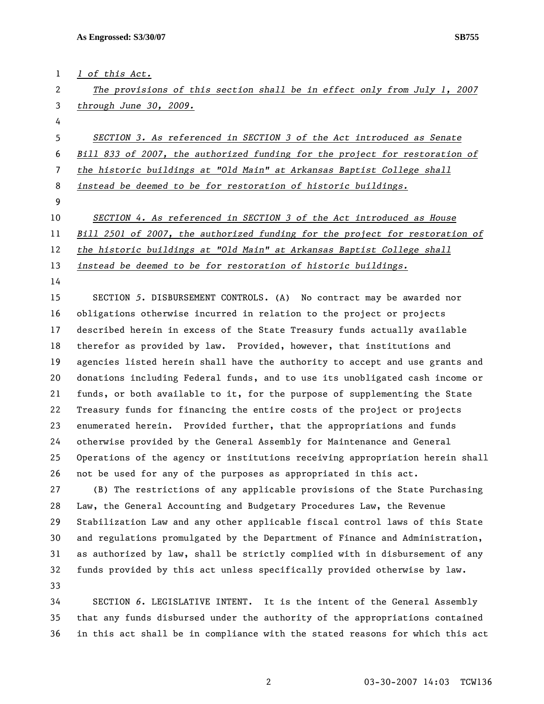1 *1 of this Act.*

2 *The provisions of this section shall be in effect only from July 1, 2007*  3 *through June 30, 2009.*

4

*SECTION 3. As referenced in SECTION 3 of the Act introduced as Senate Bill 833 of 2007, the authorized funding for the project for restoration of the historic buildings at "Old Main" at Arkansas Baptist College shall instead be deemed to be for restoration of historic buildings.*

9

10 *SECTION 4. As referenced in SECTION 3 of the Act introduced as House*

11 *Bill 2501 of 2007, the authorized funding for the project for restoration of* 

12 *the historic buildings at "Old Main" at Arkansas Baptist College shall* 

13 *instead be deemed to be for restoration of historic buildings.*

14

15 SECTION *5*. DISBURSEMENT CONTROLS. (A) No contract may be awarded nor 16 obligations otherwise incurred in relation to the project or projects 17 described herein in excess of the State Treasury funds actually available 18 therefor as provided by law. Provided, however, that institutions and 19 agencies listed herein shall have the authority to accept and use grants and 20 donations including Federal funds, and to use its unobligated cash income or 21 funds, or both available to it, for the purpose of supplementing the State 22 Treasury funds for financing the entire costs of the project or projects 23 enumerated herein. Provided further, that the appropriations and funds 24 otherwise provided by the General Assembly for Maintenance and General 25 Operations of the agency or institutions receiving appropriation herein shall 26 not be used for any of the purposes as appropriated in this act.

27 (B) The restrictions of any applicable provisions of the State Purchasing 28 Law, the General Accounting and Budgetary Procedures Law, the Revenue 29 Stabilization Law and any other applicable fiscal control laws of this State 30 and regulations promulgated by the Department of Finance and Administration, 31 as authorized by law, shall be strictly complied with in disbursement of any 32 funds provided by this act unless specifically provided otherwise by law. 33

34 SECTION *6*. LEGISLATIVE INTENT. It is the intent of the General Assembly 35 that any funds disbursed under the authority of the appropriations contained 36 in this act shall be in compliance with the stated reasons for which this act